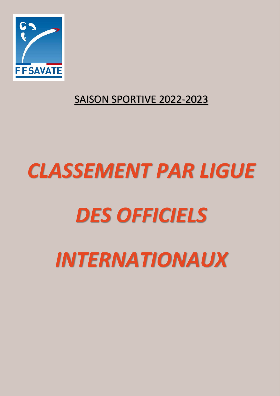

## SAISON SPORTIVE 2022-2023

## *CLASSEMENT PAR LIGUE DES OFFICIELS INTERNATIONAUX*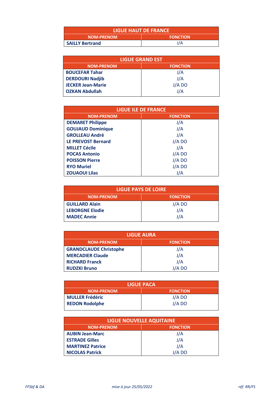| <b>LIGUE HAUT DE FRANCE</b> |                 |
|-----------------------------|-----------------|
| <b>NOM-PRENOM</b>           | <b>FONCTION</b> |
| <b>SAILLY Bertrand</b>      | J/A             |

| <b>LIGUE GRAND EST</b>   |                 |
|--------------------------|-----------------|
| <b>NOM-PRENOM</b>        | <b>FONCTION</b> |
| <b>BOUCEFAR Tahar</b>    | J/A             |
| <b>DERDOURI Nadjib</b>   | J/A             |
| <b>JECKER Jean-Marie</b> | J/A DO          |
| <b>OZKAN Abdullah</b>    | J/A             |

| <b>LIGUE ILE DE FRANCE</b> |                 |
|----------------------------|-----------------|
| <b>NOM-PRENOM</b>          | <b>FONCTION</b> |
| <b>DEMARET Philippe</b>    | J/A             |
| <b>GOUJAUD Dominique</b>   | J/A             |
| <b>GROLLEAU André</b>      | J/A             |
| <b>LE PREVOST Bernard</b>  | J/A DO          |
| <b>MILLET Cécile</b>       | J/A             |
| <b>POCAS Antonio</b>       | $J/A$ DO        |
| <b>POISSON Pierre</b>      | J/A DO          |
| <b>RYO Muriel</b>          | J/A DO          |
| <b>ZOUAOUI Lilas</b>       | J/A             |

| LIGUE PAYS DE LOIRE    |                 |
|------------------------|-----------------|
| <b>NOM-PRENOM</b>      | <b>FONCTION</b> |
| <b>GUILLARD Alain</b>  | J/A DO          |
| <b>LEBORGNE Elodie</b> | J/A             |
| <b>MADEC Annie</b>     | J/A             |

| <b>LIGUE AURA</b>             |                 |
|-------------------------------|-----------------|
| <b>NOM-PRENOM</b>             | <b>FONCTION</b> |
| <b>GRANDCLAUDE Christophe</b> | J/A             |
| <b>MERCADIER Claude</b>       | J/A             |
| <b>RICHARD Franck</b>         | J/A             |
| <b>RUDZKI Bruno</b>           | J/A DO          |

| <b>LIGUE PACA</b>      |                 |
|------------------------|-----------------|
| <b>NOM-PRENOM</b>      | <b>FONCTION</b> |
| <b>MULLER Frédéric</b> | J/A DO          |
| <b>REDON Rodolphe</b>  | J/A DO          |
|                        |                 |

| <b>LIGUE NOUVELLE AQUITAINE</b> |                 |
|---------------------------------|-----------------|
| <b>NOM-PRENOM</b>               | <b>FONCTION</b> |
| <b>AUBIN Jean-Marc</b>          | J/A             |
| <b>ESTRADE Gilles</b>           | J/A             |
| <b>MARTINEZ Patrice</b>         | J/A             |
| <b>NICOLAS Patrick</b>          | J/A DO          |